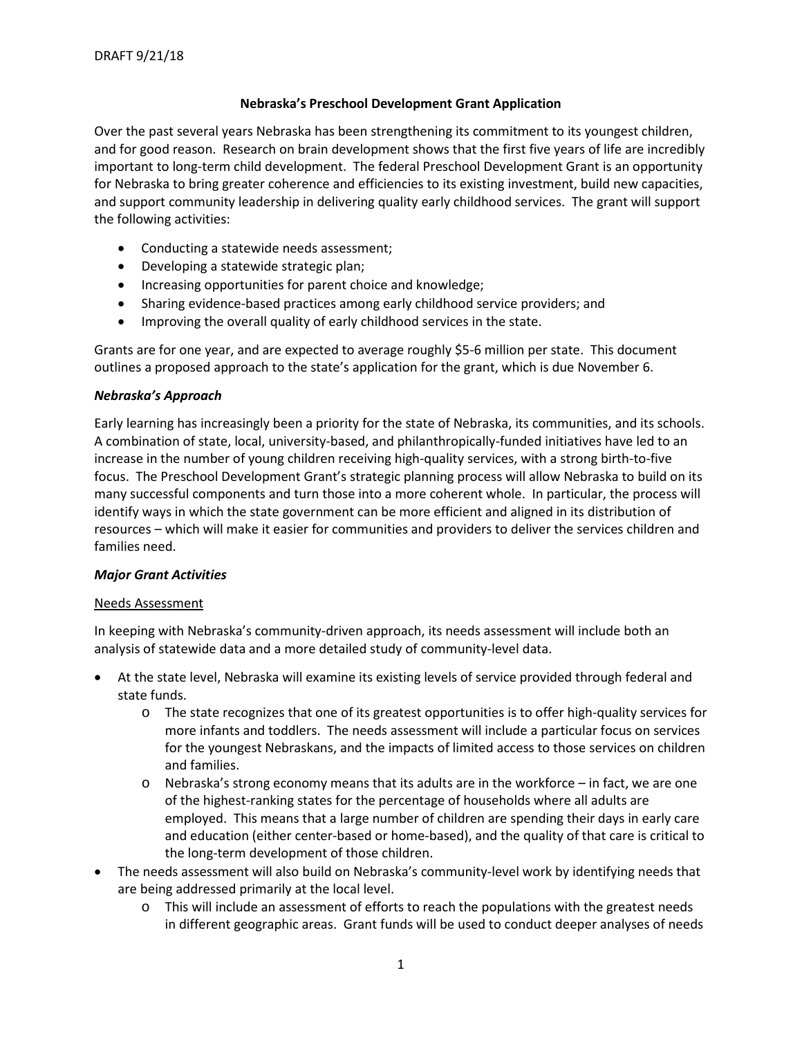# **Nebraska's Preschool Development Grant Application**

Over the past several years Nebraska has been strengthening its commitment to its youngest children, and for good reason. Research on brain development shows that the first five years of life are incredibly important to long-term child development. The federal Preschool Development Grant is an opportunity for Nebraska to bring greater coherence and efficiencies to its existing investment, build new capacities, and support community leadership in delivering quality early childhood services. The grant will support the following activities:

- Conducting a statewide needs assessment;
- Developing a statewide strategic plan;
- Increasing opportunities for parent choice and knowledge;
- Sharing evidence-based practices among early childhood service providers; and
- Improving the overall quality of early childhood services in the state.

Grants are for one year, and are expected to average roughly \$5-6 million per state. This document outlines a proposed approach to the state's application for the grant, which is due November 6.

#### *Nebraska's Approach*

Early learning has increasingly been a priority for the state of Nebraska, its communities, and its schools. A combination of state, local, university-based, and philanthropically-funded initiatives have led to an increase in the number of young children receiving high-quality services, with a strong birth-to-five focus. The Preschool Development Grant's strategic planning process will allow Nebraska to build on its many successful components and turn those into a more coherent whole. In particular, the process will identify ways in which the state government can be more efficient and aligned in its distribution of resources – which will make it easier for communities and providers to deliver the services children and families need.

# *Major Grant Activities*

#### Needs Assessment

In keeping with Nebraska's community-driven approach, its needs assessment will include both an analysis of statewide data and a more detailed study of community-level data.

- At the state level, Nebraska will examine its existing levels of service provided through federal and state funds.
	- o The state recognizes that one of its greatest opportunities is to offer high-quality services for more infants and toddlers. The needs assessment will include a particular focus on services for the youngest Nebraskans, and the impacts of limited access to those services on children and families.
	- $\circ$  Nebraska's strong economy means that its adults are in the workforce in fact, we are one of the highest-ranking states for the percentage of households where all adults are employed. This means that a large number of children are spending their days in early care and education (either center-based or home-based), and the quality of that care is critical to the long-term development of those children.
- The needs assessment will also build on Nebraska's community-level work by identifying needs that are being addressed primarily at the local level.
	- $\circ$  This will include an assessment of efforts to reach the populations with the greatest needs in different geographic areas. Grant funds will be used to conduct deeper analyses of needs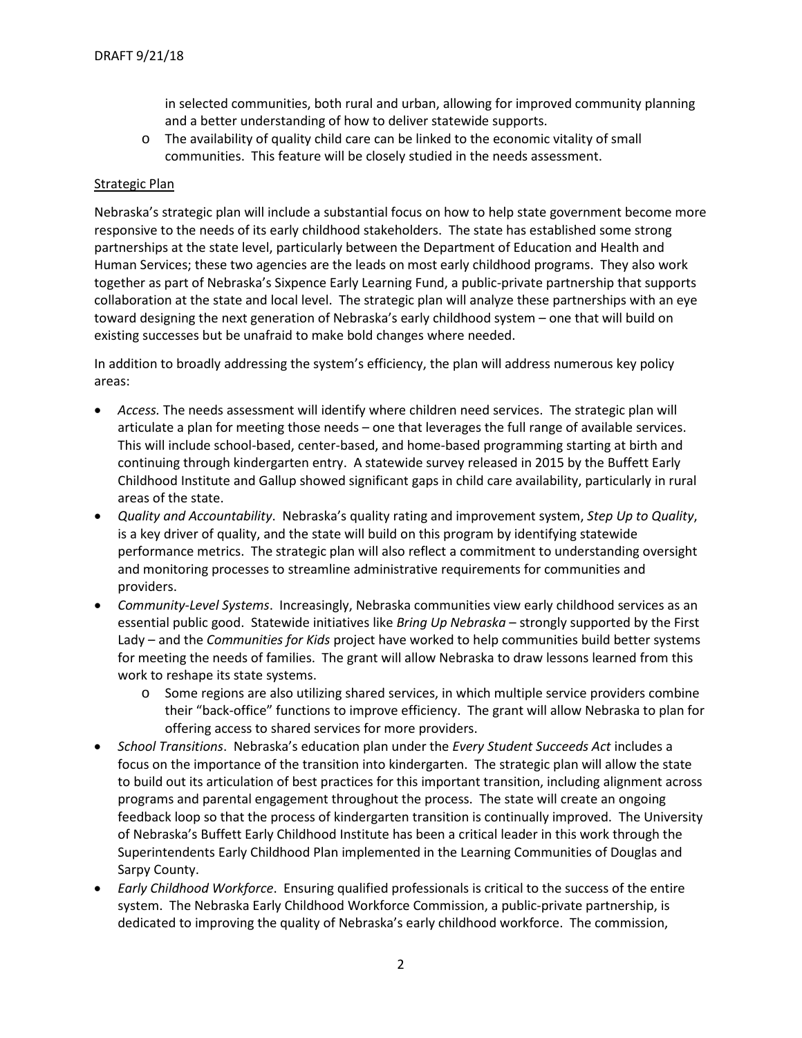in selected communities, both rural and urban, allowing for improved community planning and a better understanding of how to deliver statewide supports.

o The availability of quality child care can be linked to the economic vitality of small communities. This feature will be closely studied in the needs assessment.

# Strategic Plan

Nebraska's strategic plan will include a substantial focus on how to help state government become more responsive to the needs of its early childhood stakeholders. The state has established some strong partnerships at the state level, particularly between the Department of Education and Health and Human Services; these two agencies are the leads on most early childhood programs. They also work together as part of Nebraska's Sixpence Early Learning Fund, a public-private partnership that supports collaboration at the state and local level. The strategic plan will analyze these partnerships with an eye toward designing the next generation of Nebraska's early childhood system – one that will build on existing successes but be unafraid to make bold changes where needed.

In addition to broadly addressing the system's efficiency, the plan will address numerous key policy areas:

- *Access.* The needs assessment will identify where children need services. The strategic plan will articulate a plan for meeting those needs – one that leverages the full range of available services. This will include school-based, center-based, and home-based programming starting at birth and continuing through kindergarten entry. A statewide survey released in 2015 by the Buffett Early Childhood Institute and Gallup showed significant gaps in child care availability, particularly in rural areas of the state.
- *Quality and Accountability*. Nebraska's quality rating and improvement system, *Step Up to Quality*, is a key driver of quality, and the state will build on this program by identifying statewide performance metrics. The strategic plan will also reflect a commitment to understanding oversight and monitoring processes to streamline administrative requirements for communities and providers.
- *Community-Level Systems*. Increasingly, Nebraska communities view early childhood services as an essential public good. Statewide initiatives like *Bring Up Nebraska* – strongly supported by the First Lady – and the *Communities for Kids* project have worked to help communities build better systems for meeting the needs of families. The grant will allow Nebraska to draw lessons learned from this work to reshape its state systems.
	- o Some regions are also utilizing shared services, in which multiple service providers combine their "back-office" functions to improve efficiency. The grant will allow Nebraska to plan for offering access to shared services for more providers.
- *School Transitions*. Nebraska's education plan under the *Every Student Succeeds Act* includes a focus on the importance of the transition into kindergarten. The strategic plan will allow the state to build out its articulation of best practices for this important transition, including alignment across programs and parental engagement throughout the process. The state will create an ongoing feedback loop so that the process of kindergarten transition is continually improved. The University of Nebraska's Buffett Early Childhood Institute has been a critical leader in this work through the Superintendents Early Childhood Plan implemented in the Learning Communities of Douglas and Sarpy County.
- *Early Childhood Workforce*. Ensuring qualified professionals is critical to the success of the entire system. The Nebraska Early Childhood Workforce Commission, a public-private partnership, is dedicated to improving the quality of Nebraska's early childhood workforce. The commission,